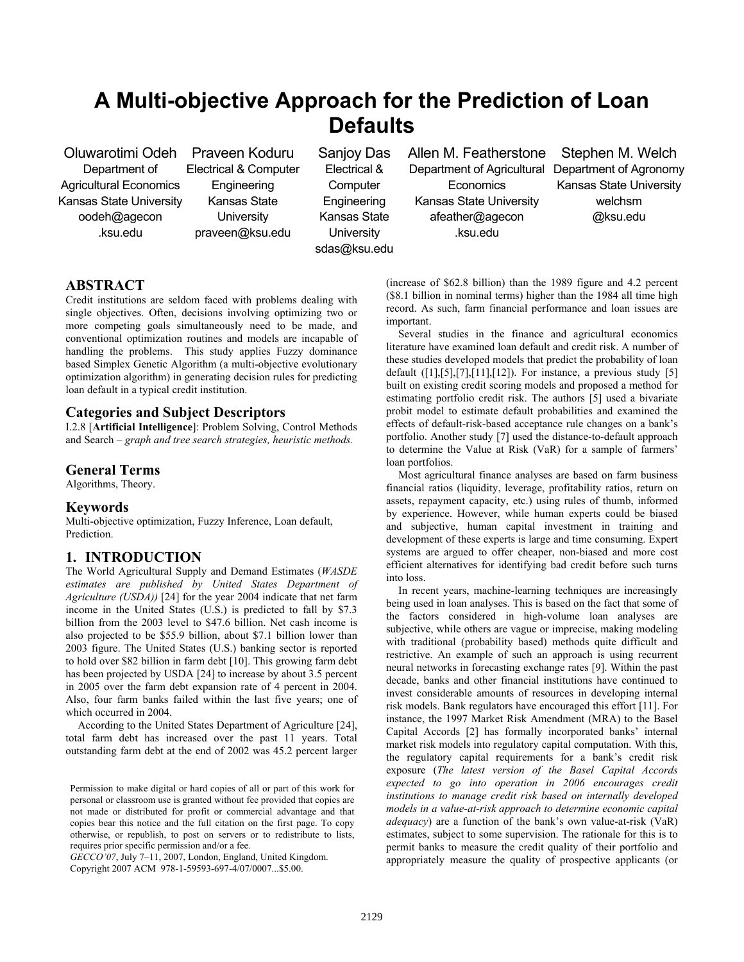# **A Multi-objective Approach for the Prediction of Loan Defaults**

Department of Agricultural Economics Kansas State University oodeh@agecon .ksu.edu

Oluwarotimi Odeh Praveen Koduru Electrical & Computer Engineering Kansas State University praveen@ksu.edu

Sanjoy Das Electrical & **Computer** Engineering Kansas State **University** sdas@ksu.edu

Allen M. Featherstone Department of Agricultural Department of Agronomy **Economics** Kansas State University afeather@agecon .ksu.edu

Stephen M. Welch Kansas State University welchsm @ksu.edu

# **ABSTRACT**

Credit institutions are seldom faced with problems dealing with single objectives. Often, decisions involving optimizing two or more competing goals simultaneously need to be made, and conventional optimization routines and models are incapable of handling the problems. This study applies Fuzzy dominance based Simplex Genetic Algorithm (a multi-objective evolutionary optimization algorithm) in generating decision rules for predicting loan default in a typical credit institution.

## **Categories and Subject Descriptors**

I.2.8 [**Artificial Intelligence**]: Problem Solving, Control Methods and Search – *graph and tree search strategies, heuristic methods.* 

# **General Terms**

Algorithms, Theory.

## **Keywords**

Multi-objective optimization, Fuzzy Inference, Loan default, Prediction.

## **1. INTRODUCTION**

The World Agricultural Supply and Demand Estimates (*WASDE estimates are published by United States Department of Agriculture (USDA))* [24] for the year 2004 indicate that net farm income in the United States (U.S.) is predicted to fall by \$7.3 billion from the 2003 level to \$47.6 billion. Net cash income is also projected to be \$55.9 billion, about \$7.1 billion lower than 2003 figure. The United States (U.S.) banking sector is reported to hold over \$82 billion in farm debt [10]. This growing farm debt has been projected by USDA [24] to increase by about 3.5 percent in 2005 over the farm debt expansion rate of 4 percent in 2004. Also, four farm banks failed within the last five years; one of which occurred in 2004.

According to the United States Department of Agriculture [24], total farm debt has increased over the past 11 years. Total outstanding farm debt at the end of 2002 was 45.2 percent larger

*GECCO'07*, July 7–11, 2007, London, England, United Kingdom. Copyright 2007 ACM 978-1-59593-697-4/07/0007...\$5.00.

(increase of \$62.8 billion) than the 1989 figure and 4.2 percent (\$8.1 billion in nominal terms) higher than the 1984 all time high record. As such, farm financial performance and loan issues are important.

Several studies in the finance and agricultural economics literature have examined loan default and credit risk. A number of these studies developed models that predict the probability of loan default  $( [1] , [5] , [7] , [11] , [12] )$ . For instance, a previous study [5] built on existing credit scoring models and proposed a method for estimating portfolio credit risk. The authors [5] used a bivariate probit model to estimate default probabilities and examined the effects of default-risk-based acceptance rule changes on a bank's portfolio. Another study [7] used the distance-to-default approach to determine the Value at Risk (VaR) for a sample of farmers' loan portfolios.

Most agricultural finance analyses are based on farm business financial ratios (liquidity, leverage, profitability ratios, return on assets, repayment capacity, etc.) using rules of thumb, informed by experience. However, while human experts could be biased and subjective, human capital investment in training and development of these experts is large and time consuming. Expert systems are argued to offer cheaper, non-biased and more cost efficient alternatives for identifying bad credit before such turns into loss.

In recent years, machine-learning techniques are increasingly being used in loan analyses. This is based on the fact that some of the factors considered in high-volume loan analyses are subjective, while others are vague or imprecise, making modeling with traditional (probability based) methods quite difficult and restrictive. An example of such an approach is using recurrent neural networks in forecasting exchange rates [9]. Within the past decade, banks and other financial institutions have continued to invest considerable amounts of resources in developing internal risk models. Bank regulators have encouraged this effort [11]. For instance, the 1997 Market Risk Amendment (MRA) to the Basel Capital Accords [2] has formally incorporated banks' internal market risk models into regulatory capital computation. With this, the regulatory capital requirements for a bank's credit risk exposure (*The latest version of the Basel Capital Accords expected to go into operation in 2006 encourages credit institutions to manage credit risk based on internally developed models in a value-at-risk approach to determine economic capital adequacy*) are a function of the bank's own value-at-risk (VaR) estimates, subject to some supervision. The rationale for this is to permit banks to measure the credit quality of their portfolio and appropriately measure the quality of prospective applicants (or

Permission to make digital or hard copies of all or part of this work for personal or classroom use is granted without fee provided that copies are not made or distributed for profit or commercial advantage and that copies bear this notice and the full citation on the first page. To copy otherwise, or republish, to post on servers or to redistribute to lists, requires prior specific permission and/or a fee.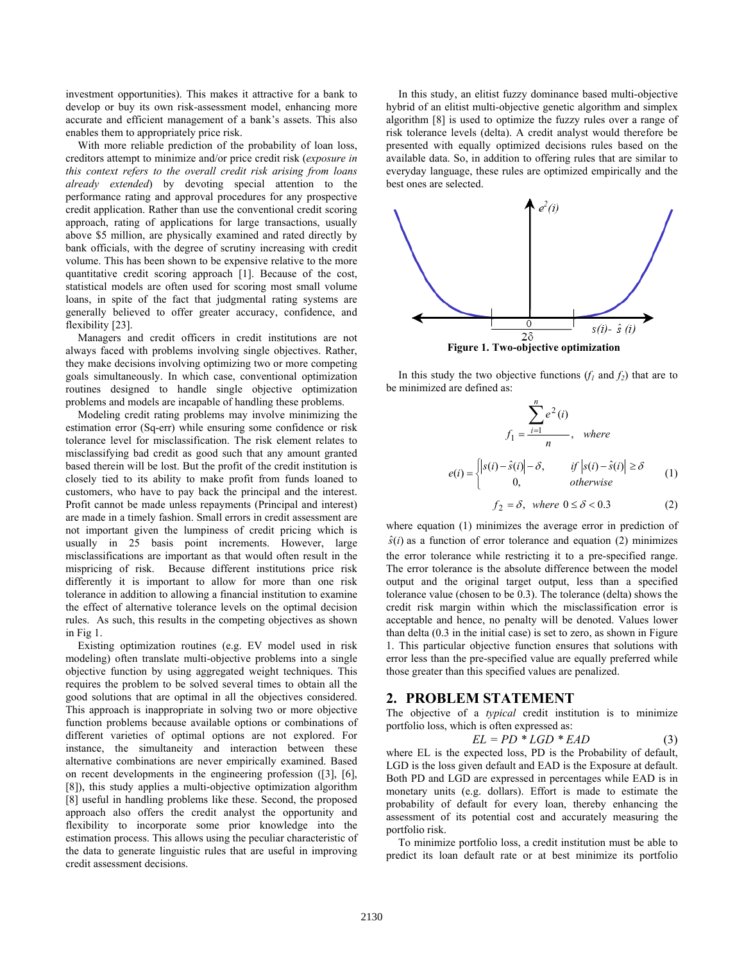investment opportunities). This makes it attractive for a bank to develop or buy its own risk-assessment model, enhancing more accurate and efficient management of a bank's assets. This also enables them to appropriately price risk.

With more reliable prediction of the probability of loan loss, creditors attempt to minimize and/or price credit risk (*exposure in this context refers to the overall credit risk arising from loans already extended*) by devoting special attention to the performance rating and approval procedures for any prospective credit application. Rather than use the conventional credit scoring approach, rating of applications for large transactions, usually above \$5 million, are physically examined and rated directly by bank officials, with the degree of scrutiny increasing with credit volume. This has been shown to be expensive relative to the more quantitative credit scoring approach [1]. Because of the cost, statistical models are often used for scoring most small volume loans, in spite of the fact that judgmental rating systems are generally believed to offer greater accuracy, confidence, and flexibility [23].

Managers and credit officers in credit institutions are not always faced with problems involving single objectives. Rather, they make decisions involving optimizing two or more competing goals simultaneously. In which case, conventional optimization routines designed to handle single objective optimization problems and models are incapable of handling these problems.

Modeling credit rating problems may involve minimizing the estimation error (Sq-err) while ensuring some confidence or risk tolerance level for misclassification. The risk element relates to misclassifying bad credit as good such that any amount granted based therein will be lost. But the profit of the credit institution is closely tied to its ability to make profit from funds loaned to customers, who have to pay back the principal and the interest. Profit cannot be made unless repayments (Principal and interest) are made in a timely fashion. Small errors in credit assessment are not important given the lumpiness of credit pricing which is usually in 25 basis point increments. However, large misclassifications are important as that would often result in the mispricing of risk. Because different institutions price risk differently it is important to allow for more than one risk tolerance in addition to allowing a financial institution to examine the effect of alternative tolerance levels on the optimal decision rules. As such, this results in the competing objectives as shown in Fig 1.

Existing optimization routines (e.g. EV model used in risk modeling) often translate multi-objective problems into a single objective function by using aggregated weight techniques. This requires the problem to be solved several times to obtain all the good solutions that are optimal in all the objectives considered. This approach is inappropriate in solving two or more objective function problems because available options or combinations of different varieties of optimal options are not explored. For instance, the simultaneity and interaction between these alternative combinations are never empirically examined. Based on recent developments in the engineering profession ([3], [6], [8]), this study applies a multi-objective optimization algorithm [8] useful in handling problems like these. Second, the proposed approach also offers the credit analyst the opportunity and flexibility to incorporate some prior knowledge into the estimation process. This allows using the peculiar characteristic of the data to generate linguistic rules that are useful in improving credit assessment decisions.

In this study, an elitist fuzzy dominance based multi-objective hybrid of an elitist multi-objective genetic algorithm and simplex algorithm [8] is used to optimize the fuzzy rules over a range of risk tolerance levels (delta). A credit analyst would therefore be presented with equally optimized decisions rules based on the available data. So, in addition to offering rules that are similar to everyday language, these rules are optimized empirically and the best ones are selected.



In this study the two objective functions  $(f_1 \text{ and } f_2)$  that are to be minimized are defined as:

$$
f_1 = \frac{\sum_{i=1}^{n} e^2(i)}{n}, \text{ where}
$$

$$
e(i) = \begin{cases} |s(i) - \hat{s}(i)| - \delta, & \text{if } |s(i) - \hat{s}(i)| \ge \delta \\ 0, & \text{otherwise} \end{cases} \tag{1}
$$

$$
f_2 = \delta, \text{ where } 0 \le \delta < 0.3 \tag{2}
$$

where equation (1) minimizes the average error in prediction of  $\hat{s}(i)$  as a function of error tolerance and equation (2) minimizes the error tolerance while restricting it to a pre-specified range. The error tolerance is the absolute difference between the model output and the original target output, less than a specified tolerance value (chosen to be 0.3). The tolerance (delta) shows the credit risk margin within which the misclassification error is acceptable and hence, no penalty will be denoted. Values lower than delta (0.3 in the initial case) is set to zero, as shown in Figure 1. This particular objective function ensures that solutions with error less than the pre-specified value are equally preferred while those greater than this specified values are penalized.

## **2. PROBLEM STATEMENT**

The objective of a *typical* credit institution is to minimize portfolio loss, which is often expressed as:

$$
EL = PD * LGD * EAD \tag{3}
$$

where EL is the expected loss, PD is the Probability of default, LGD is the loss given default and EAD is the Exposure at default. Both PD and LGD are expressed in percentages while EAD is in monetary units (e.g. dollars). Effort is made to estimate the probability of default for every loan, thereby enhancing the assessment of its potential cost and accurately measuring the portfolio risk.

To minimize portfolio loss, a credit institution must be able to predict its loan default rate or at best minimize its portfolio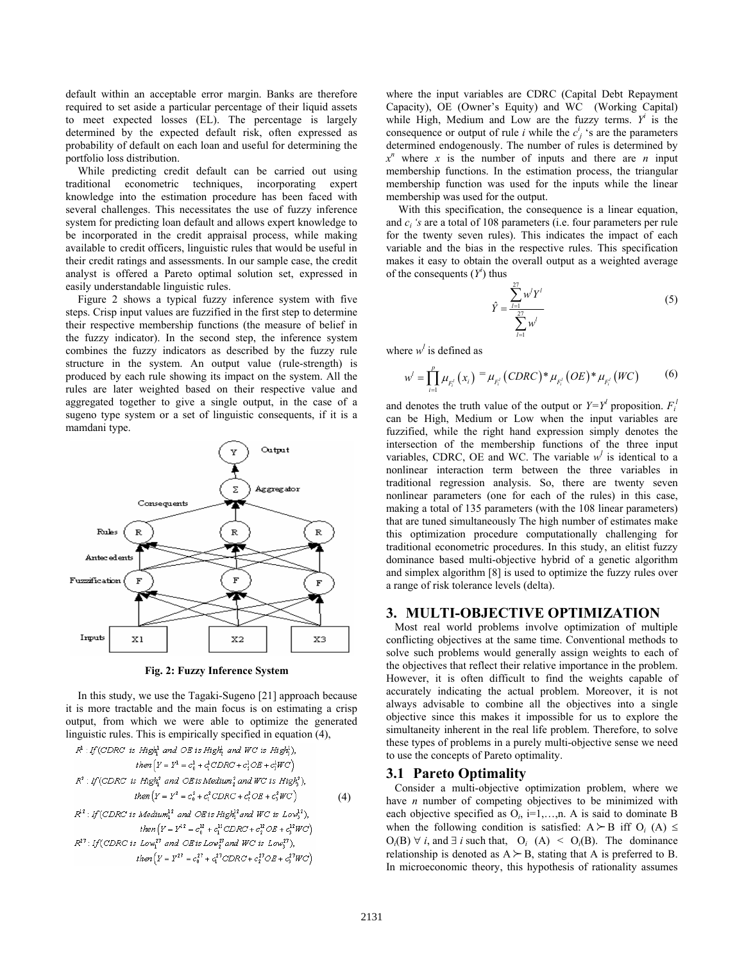default within an acceptable error margin. Banks are therefore required to set aside a particular percentage of their liquid assets to meet expected losses (EL). The percentage is largely determined by the expected default risk, often expressed as probability of default on each loan and useful for determining the portfolio loss distribution.

While predicting credit default can be carried out using traditional econometric techniques, incorporating expert knowledge into the estimation procedure has been faced with several challenges. This necessitates the use of fuzzy inference system for predicting loan default and allows expert knowledge to be incorporated in the credit appraisal process, while making available to credit officers, linguistic rules that would be useful in their credit ratings and assessments. In our sample case, the credit analyst is offered a Pareto optimal solution set, expressed in easily understandable linguistic rules.

Figure 2 shows a typical fuzzy inference system with five steps. Crisp input values are fuzzified in the first step to determine their respective membership functions (the measure of belief in the fuzzy indicator). In the second step, the inference system combines the fuzzy indicators as described by the fuzzy rule structure in the system. An output value (rule-strength) is produced by each rule showing its impact on the system. All the rules are later weighted based on their respective value and aggregated together to give a single output, in the case of a sugeno type system or a set of linguistic consequents, if it is a mamdani type.



**Fig. 2: Fuzzy Inference System** 

In this study, we use the Tagaki-Sugeno [21] approach because it is more tractable and the main focus is on estimating a crisp output, from which we were able to optimize the generated linguistic rules. This is empirically specified in equation (4),

$$
R^1: If (CDRC \text{ is High}^1 \text{ and } OE \text{ is High}^1 \text{ and } WC \text{ is High}^1),
$$
  
\n
$$
then (Y = Y^1 = c_0^1 + c_1^1 CDRC + c_2^1 OE + c_3^1 WC)
$$
  
\n
$$
R^2: If (CDRC \text{ is High}^2 \text{ and } OE \text{ is Medium}^1 \text{ and } WC \text{ is High}^1),
$$
  
\n
$$
then (Y = Y^1 = c_0^1 + c_1^1 CDRC + c_2^1 OE + c_3^1 WC)
$$
  
\n
$$
R^1: If (CDRC \text{ is Medium}^1 \text{ and } OE \text{ is High}^1 \text{ and } WC \text{ is Low}^1),
$$
  
\n
$$
then (Y = Y^{12} = c_0^{12} + c_1^{12} CDRC + c_2^{12} OE + c_3^{12}WC)
$$
  
\n
$$
R^{21}: If (CDRC \text{ is Low}^2 \text{ and } OE \text{ is Low}^2 \text{ and } WC \text{ is Low}^2),
$$
  
\n
$$
then (Y = Y^{21} = c_0^{21} + c_1^{21} CDRC + c_1^{21} OE + c_3^{21} WC)
$$

where the input variables are CDRC (Capital Debt Repayment Capacity), OE (Owner's Equity) and WC (Working Capital) while High, Medium and Low are the fuzzy terms.  $Y^i$  is the consequence or output of rule *i* while the  $c_j^i$  's are the parameters determined endogenously. The number of rules is determined by  $x^n$  where *x* is the number of inputs and there are *n* input membership functions. In the estimation process, the triangular membership function was used for the inputs while the linear membership was used for the output.

With this specification, the consequence is a linear equation, and *ci 's* are a total of 108 parameters (i.e. four parameters per rule for the twenty seven rules). This indicates the impact of each variable and the bias in the respective rules. This specification makes it easy to obtain the overall output as a weighted average of the consequents  $(Y^i)$  thus  $Z^7$ 

$$
\hat{Y} = \frac{\sum_{l=1}^{27} w^l Y^l}{\sum_{l=1}^{27} w^l}
$$
\n(5)

where  $w<sup>l</sup>$  is defined as

$$
w' = \prod_{i=1}^{p} \mu_{F_i'}(x_i) = \mu_{F_i'}(CDRC)^* \mu_{F_i'}(OE)^* \mu_{F_i'}(WC)
$$
 (6)

and denotes the truth value of the output or  $Y=Y^l$  proposition.  $F_i^l$ can be High, Medium or Low when the input variables are fuzzified, while the right hand expression simply denotes the intersection of the membership functions of the three input variables, CDRC, OE and WC. The variable  $w<sup>l</sup>$  is identical to a nonlinear interaction term between the three variables in traditional regression analysis. So, there are twenty seven nonlinear parameters (one for each of the rules) in this case, making a total of 135 parameters (with the 108 linear parameters) that are tuned simultaneously The high number of estimates make this optimization procedure computationally challenging for traditional econometric procedures. In this study, an elitist fuzzy dominance based multi-objective hybrid of a genetic algorithm and simplex algorithm [8] is used to optimize the fuzzy rules over a range of risk tolerance levels (delta).

### **3. MULTI-OBJECTIVE OPTIMIZATION**

Most real world problems involve optimization of multiple conflicting objectives at the same time. Conventional methods to solve such problems would generally assign weights to each of the objectives that reflect their relative importance in the problem. However, it is often difficult to find the weights capable of accurately indicating the actual problem. Moreover, it is not always advisable to combine all the objectives into a single objective since this makes it impossible for us to explore the simultaneity inherent in the real life problem. Therefore, to solve these types of problems in a purely multi-objective sense we need to use the concepts of Pareto optimality.

#### **3.1 Pareto Optimality**

Consider a multi-objective optimization problem, where we have *n* number of competing objectives to be minimized with each objective specified as  $O_i$ , i=1,...,n. A is said to dominate B when the following condition is satisfied:  $A \geq B$  iff  $O_i(A) \leq$  $O_i(B)$   $\forall$  *i*, and  $\exists$  *i* such that,  $O_i$  (A) <  $O_i(B)$ . The dominance relationship is denoted as  $A \succeq B$ , stating that A is preferred to B. In microeconomic theory, this hypothesis of rationality assumes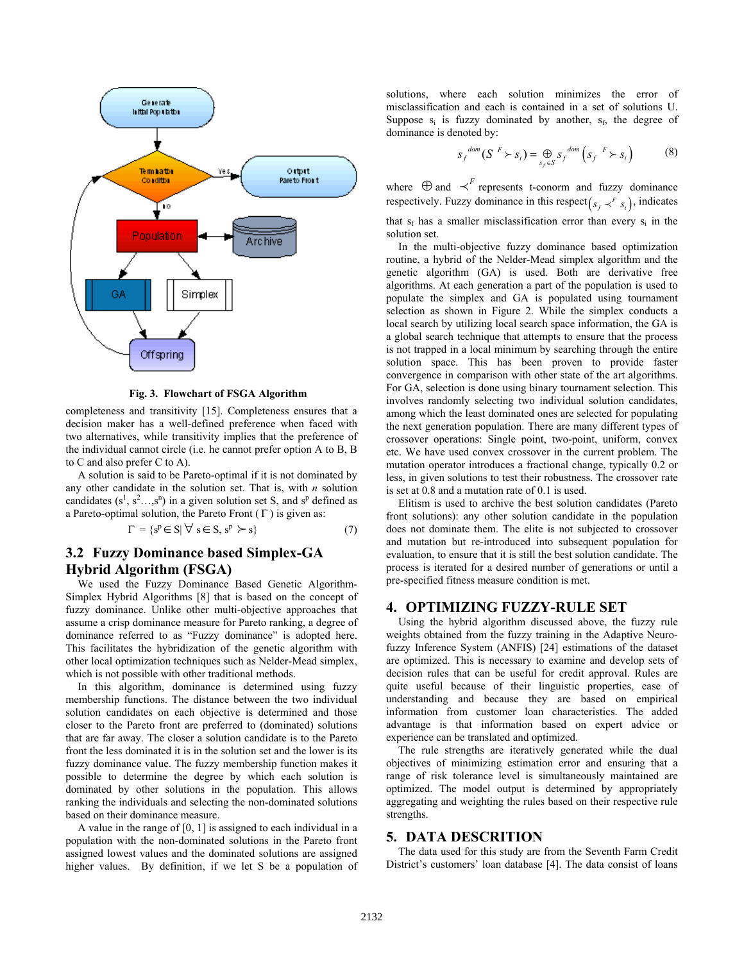

**Fig. 3. Flowchart of FSGA Algorithm** 

completeness and transitivity [15]. Completeness ensures that a decision maker has a well-defined preference when faced with two alternatives, while transitivity implies that the preference of the individual cannot circle (i.e. he cannot prefer option A to B, B to C and also prefer C to A).

A solution is said to be Pareto-optimal if it is not dominated by any other candidate in the solution set. That is, with *n* solution candidates  $(s^1, s^2...s^n)$  in a given solution set S, and  $s^p$  defined as a Pareto-optimal solution, the Pareto Front  $(\Gamma)$  is given as:

$$
\Gamma = \{ s^p \in S | \, \forall \, s \in S, s^p \succ s \} \tag{7}
$$

## **3.2 Fuzzy Dominance based Simplex-GA Hybrid Algorithm (FSGA)**

We used the Fuzzy Dominance Based Genetic Algorithm-Simplex Hybrid Algorithms [8] that is based on the concept of fuzzy dominance. Unlike other multi-objective approaches that assume a crisp dominance measure for Pareto ranking, a degree of dominance referred to as "Fuzzy dominance" is adopted here. This facilitates the hybridization of the genetic algorithm with other local optimization techniques such as Nelder-Mead simplex, which is not possible with other traditional methods.

In this algorithm, dominance is determined using fuzzy membership functions. The distance between the two individual solution candidates on each objective is determined and those closer to the Pareto front are preferred to (dominated) solutions that are far away. The closer a solution candidate is to the Pareto front the less dominated it is in the solution set and the lower is its fuzzy dominance value. The fuzzy membership function makes it possible to determine the degree by which each solution is dominated by other solutions in the population. This allows ranking the individuals and selecting the non-dominated solutions based on their dominance measure.

A value in the range of [0, 1] is assigned to each individual in a population with the non-dominated solutions in the Pareto front assigned lowest values and the dominated solutions are assigned higher values. By definition, if we let S be a population of

solutions, where each solution minimizes the error of misclassification and each is contained in a set of solutions U. Suppose  $s_i$  is fuzzy dominated by another,  $s_f$ , the degree of dominance is denoted by:

$$
s_f^{dom}(S^F \succ s_i) = \bigoplus_{s_f \in S} s_f^{dom}(s_f^F \succ s_i)
$$
 (8)

where  $\Theta$  and  $\prec^F$  represents t-conorm and fuzzy dominance respectively. Fuzzy dominance in this respect $(s_f \prec^F s_i)$ , indicates that  $s_f$  has a smaller misclassification error than every  $s_i$  in the solution set.

In the multi-objective fuzzy dominance based optimization routine, a hybrid of the Nelder-Mead simplex algorithm and the genetic algorithm (GA) is used. Both are derivative free algorithms. At each generation a part of the population is used to populate the simplex and GA is populated using tournament selection as shown in Figure 2. While the simplex conducts a local search by utilizing local search space information, the GA is a global search technique that attempts to ensure that the process is not trapped in a local minimum by searching through the entire solution space. This has been proven to provide faster convergence in comparison with other state of the art algorithms. For GA, selection is done using binary tournament selection. This involves randomly selecting two individual solution candidates, among which the least dominated ones are selected for populating the next generation population. There are many different types of crossover operations: Single point, two-point, uniform, convex etc. We have used convex crossover in the current problem. The mutation operator introduces a fractional change, typically 0.2 or less, in given solutions to test their robustness. The crossover rate is set at 0.8 and a mutation rate of 0.1 is used.

Elitism is used to archive the best solution candidates (Pareto front solutions): any other solution candidate in the population does not dominate them. The elite is not subjected to crossover and mutation but re-introduced into subsequent population for evaluation, to ensure that it is still the best solution candidate. The process is iterated for a desired number of generations or until a pre-specified fitness measure condition is met.

# **4. OPTIMIZING FUZZY-RULE SET**

Using the hybrid algorithm discussed above, the fuzzy rule weights obtained from the fuzzy training in the Adaptive Neurofuzzy Inference System (ANFIS) [24] estimations of the dataset are optimized. This is necessary to examine and develop sets of decision rules that can be useful for credit approval. Rules are quite useful because of their linguistic properties, ease of understanding and because they are based on empirical information from customer loan characteristics. The added advantage is that information based on expert advice or experience can be translated and optimized.

The rule strengths are iteratively generated while the dual objectives of minimizing estimation error and ensuring that a range of risk tolerance level is simultaneously maintained are optimized. The model output is determined by appropriately aggregating and weighting the rules based on their respective rule strengths.

#### **5. DATA DESCRITION**

The data used for this study are from the Seventh Farm Credit District's customers' loan database [4]. The data consist of loans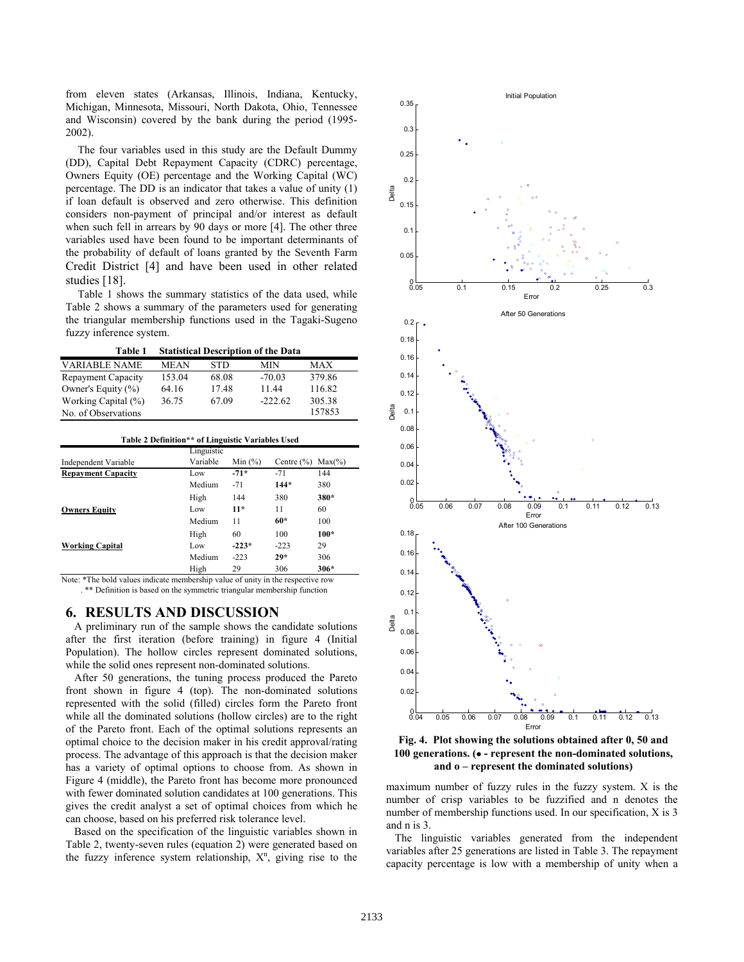from eleven states (Arkansas, Illinois, Indiana, Kentucky, Michigan, Minnesota, Missouri, North Dakota, Ohio, Tennessee and Wisconsin) covered by the bank during the period (1995- 2002).

The four variables used in this study are the Default Dummy (DD), Capital Debt Repayment Capacity (CDRC) percentage, Owners Equity (OE) percentage and the Working Capital (WC) percentage. The DD is an indicator that takes a value of unity (1) if loan default is observed and zero otherwise. This definition considers non-payment of principal and/or interest as default when such fell in arrears by 90 days or more [4]. The other three variables used have been found to be important determinants of the probability of default of loans granted by the Seventh Farm Credit District [4] and have been used in other related studies [18].

Table 1 shows the summary statistics of the data used, while Table 2 shows a summary of the parameters used for generating the triangular membership functions used in the Tagaki-Sugeno fuzzy inference system.

| Table 1 |  | <b>Statistical Description of the Data</b> |  |
|---------|--|--------------------------------------------|--|
|---------|--|--------------------------------------------|--|

| <b>VARIABLE NAME</b>   | <b>MEAN</b> | <b>STD</b> | MIN       | <b>MAX</b> |
|------------------------|-------------|------------|-----------|------------|
| Repayment Capacity     | 153.04      | 68.08      | $-70.03$  | 379.86     |
| Owner's Equity $(\% )$ | 64.16       | 17.48      | 11.44     | 116.82     |
| Working Capital (%)    | 36.75       | 67.09      | $-222.62$ | 305.38     |
| No. of Observations    |             |            |           | 157853     |

| Table 2 Definition** of Linguistic Variables Used |            |            |                |            |  |
|---------------------------------------------------|------------|------------|----------------|------------|--|
|                                                   | Linguistic |            |                |            |  |
| Independent Variable                              | Variable   | Min $(\%)$ | Centre $(\% )$ | $Max(\% )$ |  |
| <b>Repayment Capacity</b>                         | Low        | $-71*$     | $-71$          | 144        |  |
|                                                   | Medium     | $-71$      | $144*$         | 380        |  |
|                                                   | High       | 144        | 380            | 380*       |  |
| <b>Owners Equity</b>                              | Low        | $11*$      | 11             | 60         |  |
|                                                   | Medium     | 11         | 60*            | 100        |  |
|                                                   | High       | 60         | 100            | $100*$     |  |
| <b>Working Capital</b>                            | Low        | $-223*$    | $-223$         | 29         |  |
|                                                   | Medium     | $-223$     | $29*$          | 306        |  |
|                                                   | High       | 29         | 306            | $306*$     |  |

 . \*\* Definition is based on the symmetric triangular membership function Note: \*The bold values indicate membership value of unity in the respective row

## **6. RESULTS AND DISCUSSION**

A preliminary run of the sample shows the candidate solutions after the first iteration (before training) in figure 4 (Initial Population). The hollow circles represent dominated solutions, while the solid ones represent non-dominated solutions.

After 50 generations, the tuning process produced the Pareto front shown in figure 4 (top). The non-dominated solutions represented with the solid (filled) circles form the Pareto front while all the dominated solutions (hollow circles) are to the right of the Pareto front. Each of the optimal solutions represents an optimal choice to the decision maker in his credit approval/rating process. The advantage of this approach is that the decision maker has a variety of optimal options to choose from. As shown in Figure 4 (middle), the Pareto front has become more pronounced with fewer dominated solution candidates at 100 generations. This gives the credit analyst a set of optimal choices from which he can choose, based on his preferred risk tolerance level.

Based on the specification of the linguistic variables shown in Table 2, twenty-seven rules (equation 2) were generated based on the fuzzy inference system relationship,  $X<sup>n</sup>$ , giving rise to the



**Fig. 4. Plot showing the solutions obtained after 0, 50 and 100 generations. (**• **- represent the non-dominated solutions, and o – represent the dominated solutions)** 

maximum number of fuzzy rules in the fuzzy system. X is the number of crisp variables to be fuzzified and n denotes the number of membership functions used. In our specification, X is 3 and n is 3.

The linguistic variables generated from the independent variables after 25 generations are listed in Table 3. The repayment capacity percentage is low with a membership of unity when a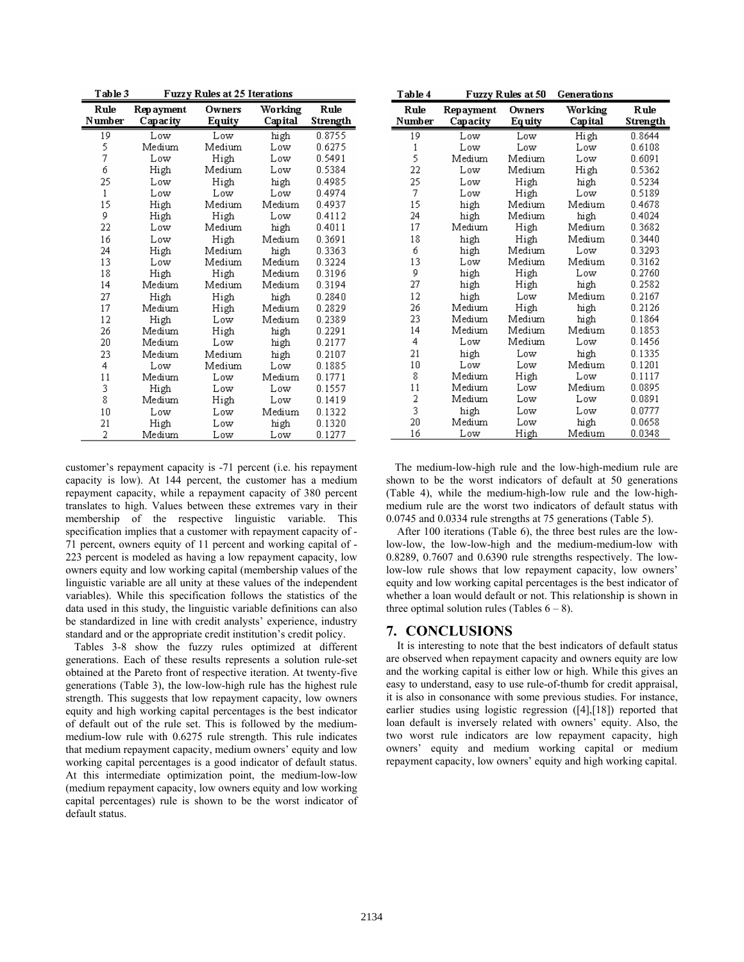| Table 3        | Fuzzy Rules at 25 Iterations |                  |                    |                  |
|----------------|------------------------------|------------------|--------------------|------------------|
| Rule<br>Number | Rep ayment<br>Capacity       | Owners<br>Equity | Working<br>Capital | Rule<br>Strength |
| 19             | Low                          | Low              | high               | 0.8755           |
| 5              | Medium                       | Medium           | Low                | 0.6275           |
| 7              | Low                          | High             | Low                | 0.5491           |
| б              | High                         | Medium           | Low                | 0.5384           |
| 25             | Low                          | High             | high               | 0.4985           |
| 1              | Low                          | Low              | Low                | 0.4974           |
| 15             | High                         | Medium           | Medium             | 0.4937           |
| 9              | High                         | High             | Low                | 0.4112           |
| 22             | Low                          | Medium           | high               | 0.4011           |
| 16             | Low                          | High             | Medium             | 0.3691           |
| 24             | High                         | Medium           | high               | 0.3363           |
| 13             | Low                          | Medium           | Medium             | 0.3224           |
| 18             | High                         | High             | Medium             | 0.3196           |
| 14             | Medium                       | Medium           | Medium             | 0.3194           |
| 27             | High                         | High             | high               | 0.2840           |
| 17             | Medium                       | High             | Medium             | 0.2829           |
| 12             | High                         | Low              | Medium             | 0.2389           |
| 26             | Medium                       | High             | high               | 0.2291           |
| $^{20}$        | Medium                       | Low              | high               | 0.2177           |
| 23             | Medium                       | Medium           | high               | 0.2107           |
| 4              | Low                          | Medium           | Low                | 0.1885           |
| 11             | Medium                       | Low              | Medium             | 0.1771           |
| 3              | High                         | Low              | Low                | 0.1557           |
| 8              | Medium                       | High             | Low                | 0.1419           |
| 10             | Low                          | Low              | Medium             | 0.1322           |
| 21             | High                         | Low              | high               | 0.1320           |
| 2              | Medium                       | Low              | Low                | 0.1277           |

customer's repayment capacity is -71 percent (i.e. his repayment capacity is low). At 144 percent, the customer has a medium repayment capacity, while a repayment capacity of 380 percent translates to high. Values between these extremes vary in their membership of the respective linguistic variable. This specification implies that a customer with repayment capacity of - 71 percent, owners equity of 11 percent and working capital of - 223 percent is modeled as having a low repayment capacity, low owners equity and low working capital (membership values of the linguistic variable are all unity at these values of the independent variables). While this specification follows the statistics of the data used in this study, the linguistic variable definitions can also be standardized in line with credit analysts' experience, industry standard and or the appropriate credit institution's credit policy.

Tables 3-8 show the fuzzy rules optimized at different generations. Each of these results represents a solution rule-set obtained at the Pareto front of respective iteration. At twenty-five generations (Table 3), the low-low-high rule has the highest rule strength. This suggests that low repayment capacity, low owners equity and high working capital percentages is the best indicator of default out of the rule set. This is followed by the mediummedium-low rule with 0.6275 rule strength. This rule indicates that medium repayment capacity, medium owners' equity and low working capital percentages is a good indicator of default status. At this intermediate optimization point, the medium-low-low (medium repayment capacity, low owners equity and low working capital percentages) rule is shown to be the worst indicator of default status.

| Table 4        | Fuzzy Rules at 50     |                          | Generations        |                  |
|----------------|-----------------------|--------------------------|--------------------|------------------|
| Rule<br>Number | Repayment<br>Capacity | <b>Owners</b><br>Eq uity | Working<br>Capital | Rule<br>Strength |
| 19             | Low                   | Low                      | High               | 0.8644           |
| 1              | Low                   | Low                      | Low                | 0.6108           |
| 5              | Medium                | Medium                   | Low                | 0.6091           |
| 22             | Low                   | Medium                   | High               | 0.5362           |
| 25             | Low                   | High                     | high               | 0.5234           |
| 7              | Low                   | High                     | Low                | 0.5189           |
| 15             | high                  | Medium                   | Medium             | 0.4678           |
| 24             | high                  | Medium                   | high               | 0.4024           |
| 17             | Medium                | High                     | Medium             | 0.3682           |
| 18             | high                  | High                     | Medium             | 0.3440           |
| б              | high                  | Medium                   | Low                | 0.3293           |
| 13             | Low                   | Medium                   | Medium             | 0.3162           |
| 9              | high                  | High                     | Low                | 0.2760           |
| 27             | high                  | High                     | high               | 0.2582           |
| 12             | high                  | Low                      | Medium             | 0.2167           |
| 26             | Medium                | High                     | high               | 0.2126           |
| 23             | Medium                | Medium                   | high               | 0.1864           |
| 14             | Medium                | Medium                   | Medium             | 0.1853           |
| 4              | Low                   | Medium                   | Low                | 0.1456           |
| 21             | high                  | Low                      | high               | 0.1335           |
| 10             | Low                   | Low                      | Medium             | 0.1201           |
| 8              | Medium                | High                     | Low                | 0.1117           |
| 11             | Medium                | Low                      | Medium             | 0.0895           |
| 2              | Medium                | Low                      | Low                | 0.0891           |
| 3              | high                  | Low                      | Low                | 0.0777           |
| 20             | Medium                | Low                      | high               | 0.0658           |
| 16             | Low                   | High                     | Medium             | 0.0348           |

The medium-low-high rule and the low-high-medium rule are shown to be the worst indicators of default at 50 generations (Table 4), while the medium-high-low rule and the low-highmedium rule are the worst two indicators of default status with 0.0745 and 0.0334 rule strengths at 75 generations (Table 5).

After 100 iterations (Table 6), the three best rules are the lowlow-low, the low-low-high and the medium-medium-low with 0.8289, 0.7607 and 0.6390 rule strengths respectively. The lowlow-low rule shows that low repayment capacity, low owners' equity and low working capital percentages is the best indicator of whether a loan would default or not. This relationship is shown in three optimal solution rules (Tables  $6 - 8$ ).

## **7. CONCLUSIONS**

It is interesting to note that the best indicators of default status are observed when repayment capacity and owners equity are low and the working capital is either low or high. While this gives an easy to understand, easy to use rule-of-thumb for credit appraisal, it is also in consonance with some previous studies. For instance, earlier studies using logistic regression ([4],[18]) reported that loan default is inversely related with owners' equity. Also, the two worst rule indicators are low repayment capacity, high owners' equity and medium working capital or medium repayment capacity, low owners' equity and high working capital.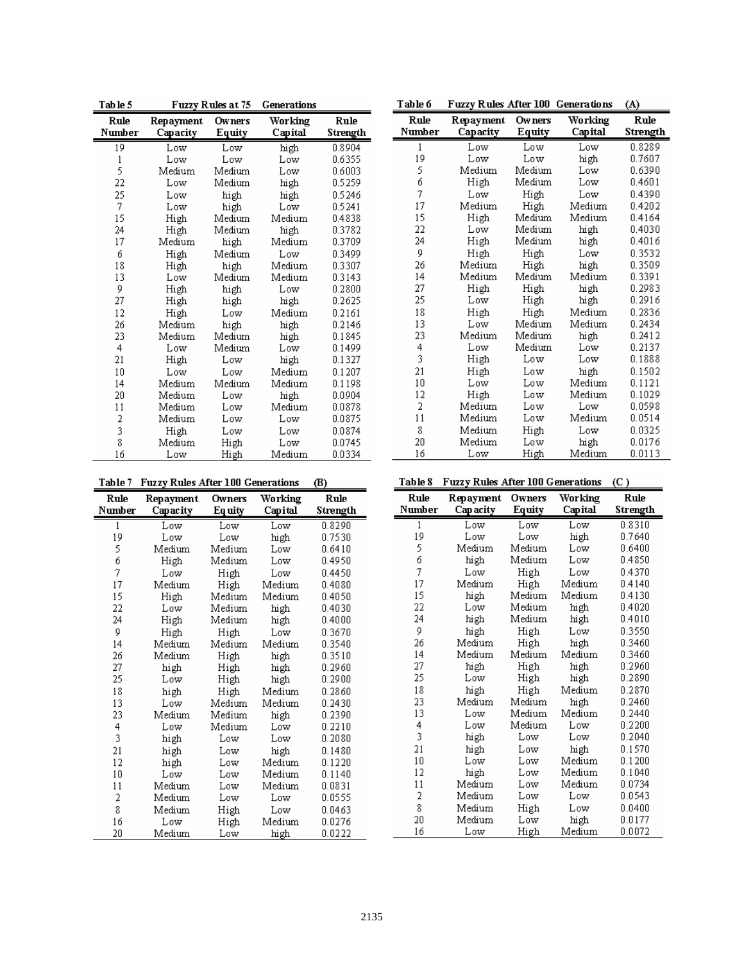| Table 5        | <b>Fuzzy Rules at 75</b> |                         | <b>Generations</b> |                  |
|----------------|--------------------------|-------------------------|--------------------|------------------|
| Rule<br>Number | Repayment<br>Capacity    | <b>Owners</b><br>Equity | Working<br>Capital | Rule<br>Strength |
| 19             | Low                      | Low                     | high               | 0.8904           |
| 1              | Low                      | Low                     | Low                | 0.6355           |
| 5              | Medium                   | Medium                  | Low                | 0.6003           |
| 22             | Low                      | Medium                  | high               | 0.5259           |
| 25             | Low                      | high                    | high               | 0.5246           |
| 7              | Low                      | high                    | Low                | 0.5241           |
| 15             | High                     | Medium                  | Medium             | 0.4838           |
| 24             | High                     | Medium                  | high               | 0.3782           |
| 17             | Medium                   | high                    | Medium             | 0.3709           |
| б              | High                     | Medium                  | Low                | 0.3499           |
| 18             | High                     | high                    | Medium             | 0.3307           |
| 13             | Low                      | Medium                  | Medium             | 0.3143           |
| 9              | High                     | high                    | Low                | 0.2800           |
| 27             | High                     | high                    | high               | 0.2625           |
| 12             | High                     | Low                     | Medium             | 0.2161           |
| 26             | Medium                   | high                    | high               | 0.2146           |
| 23             | Medium                   | Medium                  | high               | 0.1845           |
| 4              | Low                      | Medium                  | Low                | 0.1499           |
| 21             | High                     | Low                     | high               | 0.1327           |
| 10             | Low                      | Low                     | Medium             | 0.1207           |
| 14             | Medium                   | Medium                  | Medium             | 0.1198           |
| 20             | Medium                   | Low                     | high               | 0.0904           |
| 11             | Medium                   | Low                     | Medium             | 0.0878           |
| 2              | Medium                   | Low                     | Low                | 0.0875           |
| 3<br>8         | High                     | Low                     | Low                | 0.0874           |
|                | Medium                   | High                    | Low                | 0.0745           |
| 16             | Low                      | High                    | Medium             | 0.0334           |

| Table 7 Fuzzy Rules After 100 Generations (B) |  |
|-----------------------------------------------|--|
|                                               |  |

| Rule   | Repayment | Owners  | Working | Rule     |
|--------|-----------|---------|---------|----------|
| Number | Capacity  | Eq uity | Capital | Strength |
| 1      | Low       | Low     | Low     | 0.8290   |
| 19     | Low       | Low     | high    | 0.7530   |
| 5      | Medium    | Medium  | Low     | 0.6410   |
| б      | High      | Medium  | Low     | 0.4950   |
| 7      | Low       | High    | Low     | 0.4450   |
| 17     | Medium    | High    | Medium  | 0.4080   |
| 15     | High      | Medium  | Medium  | 0.4050   |
| 22     | Low       | Medium  | high    | 0.4030   |
| 24     | High      | Medium  | high    | 0.4000   |
| 9      | High      | High    | Low     | 0.3670   |
| 14     | Medium    | Medium  | Medium  | 0.3540   |
| 26     | Medium    | High    | high    | 0.3510   |
| 27     | high      | High    | high    | 0.2960   |
| 25     | Low       | High    | high    | 0.2900   |
| 18     | high      | High    | Medium  | 0.2860   |
| 13     | Low       | Medium  | Medium  | 0.2430   |
| 23     | Medium    | Medium  | high    | 0.2390   |
| 4      | Low       | Medium  | Low     | 0.2210   |
| 3      | high      | Low     | Low     | 0.2080   |
| 21     | high      | Low     | high    | 0.1480   |
| 12     | high      | Low     | Medium  | 0.1220   |
| 10     | Low       | Low     | Medium  | 0.1140   |
| 11     | Medium    | Low     | Medium  | 0.0831   |
| 2      | Medium    | Low     | Low     | 0.0555   |
| 8      | Medium    | High    | Low     | 0.0463   |
| 16     | Low       | High    | Medium  | 0.0276   |
| 20     | Medium    | Low     | high    | 0.0222   |

| Rule<br>Number | Repayment<br>Capacity | <b>Owners</b><br>Equity | Working<br>Capital | Rule<br>Strength |
|----------------|-----------------------|-------------------------|--------------------|------------------|
| 1              | Low                   | Low                     | Low                | 0.8289           |
| 19             | Low                   | Low                     | high               | 0.7607           |
| 5              | Medium                | Medium                  | Low                | 0.6390           |
| б              | High                  | Medium                  | Low                | 0.4601           |
| 7              | Low                   | High                    | Low                | 0.4390           |
| 17             | Medium                | High                    | Medium             | 0.4202           |
| 15             | High                  | Medium                  | Medium             | 0.4164           |
| 22             | Low                   | Medium                  | high               | 0.4030           |
| 24             | High                  | Medium                  | high               | 0.4016           |
| 9              | High                  | High                    | Low                | 0.3532           |
| 26             | Medium                | High                    | high               | 0.3509           |
| 14             | Medium                | Medium                  | Medium             | 0.3391           |
| 27             | High                  | High                    | high               | 0.2983           |
| 25             | Low                   | High                    | high               | 0.2916           |
| 18             | High                  | High                    | Medium             | 0.2836           |
| 13             | Low                   | Medium                  | Medium             | 0.2434           |
| 23             | Medium                | Medium                  | high               | 0.2412           |
| 4              | Low                   | Medium                  | Low                | 0.2137           |
| 3              | High                  | Low                     | Low                | 0.1888           |
| 21             | High                  | Low                     | high               | 0.1502           |
| 10             | Low                   | Low                     | Medium             | 0.1121           |
| 12             | High                  | Low                     | Medium             | 0.1029           |
| 2              | Medium                | Low                     | Low                | 0.0598           |
| 11             | Medium                | Low                     | Medium             | 0.0514           |
| 8              | Medium                | High                    | Low                | 0.0325           |
| 20             | Medium                | Low                     | high               | 0.0176           |
| 16             | Low                   | High                    | Medium             | 0.0113           |

|  | Table 8 Fuzzy Rules After 100 Generations (C) |  |
|--|-----------------------------------------------|--|
|  |                                               |  |

| Rule   | Repayment | Owners | Working | Rule        |
|--------|-----------|--------|---------|-------------|
| Number | Cap acity | Equity | Capital | Strength    |
| 1      | Low       | Low    | Low     | 0.8310      |
| 19     | Low       | Low    | high    | 0.7640      |
| 5      | Medium    | Medium | Low     | 0.6400      |
| б      | high      | Medium | Low     | 0.4850      |
| 7      | Low       | High   | Low     | 0.4370      |
| 17     | Medium    | High   | Medium  | 0.4140      |
| 15     | high      | Medium | Medium  | 0.4130      |
| 22     | Low       | Medium | high    | 0.4020      |
| 24     | high      | Medium | high    | 0.4010      |
| 9      | high      | High   | Low     | 0.3550      |
| 26     | Medium    | High   | high    | 0.3460      |
| 14     | Medium    | Medium | Medium  | 0.3460      |
| 27     | high      | High   | high    | 0.2960      |
| 25     | Low       | High   | high    | 0.2890      |
| 18     | high      | High   | Medium  | 0.2870      |
| 23     | Medium    | Medium | high    | 0.2460      |
| 13     | Low       | Medium | Medium  | 0.2440      |
| 4      | Low       | Medium | Low     | 0.2200      |
| 3      | high      | Low    | Low     | 0.2040      |
| 21     | high      | Low    | high    | 0.1570      |
| 10     | Low       | Low    | Medium  | 0.1200      |
| 12     | high      | Low    | Medium  | 0.1040      |
| 11     | Medium    | Low    | Medium  | 0.0734      |
| 2      | Medium    | Low    | Low     | 0.0543      |
| 8      | Medium    | High   | Low     | 0.0400      |
| 20     | Medium    | Low    | high    | 0.0177      |
| 16     | Low       | High   | Medium  | $_{0.0072}$ |

Table 6 Fuzzy Rules After 100 Generations (A)